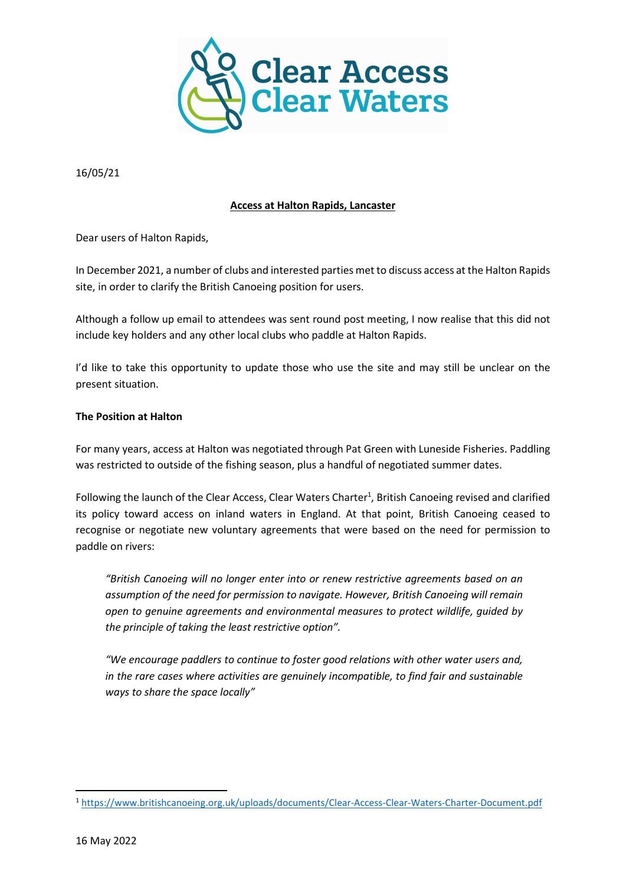

16/05/21

# Access at Halton Rapids, Lancaster

Dear users of Halton Rapids,

In December 2021, a number of clubs and interested parties met to discuss access at the Halton Rapids site, in order to clarify the British Canoeing position for users.

Although a follow up email to attendees was sent round post meeting, I now realise that this did not include key holders and any other local clubs who paddle at Halton Rapids.

I'd like to take this opportunity to update those who use the site and may still be unclear on the present situation.

### The Position at Halton

For many years, access at Halton was negotiated through Pat Green with Luneside Fisheries. Paddling was restricted to outside of the fishing season, plus a handful of negotiated summer dates.

Following the launch of the Clear Access, Clear Waters Charter<sup>1</sup>, British Canoeing revised and clarified its policy toward access on inland waters in England. At that point, British Canoeing ceased to recognise or negotiate new voluntary agreements that were based on the need for permission to paddle on rivers:

"British Canoeing will no longer enter into or renew restrictive agreements based on an assumption of the need for permission to navigate. However, British Canoeing will remain open to genuine agreements and environmental measures to protect wildlife, guided by the principle of taking the least restrictive option".

"We encourage paddlers to continue to foster good relations with other water users and, in the rare cases where activities are genuinely incompatible, to find fair and sustainable ways to share the space locally"

-

<sup>1</sup> https://www.britishcanoeing.org.uk/uploads/documents/Clear-Access-Clear-Waters-Charter-Document.pdf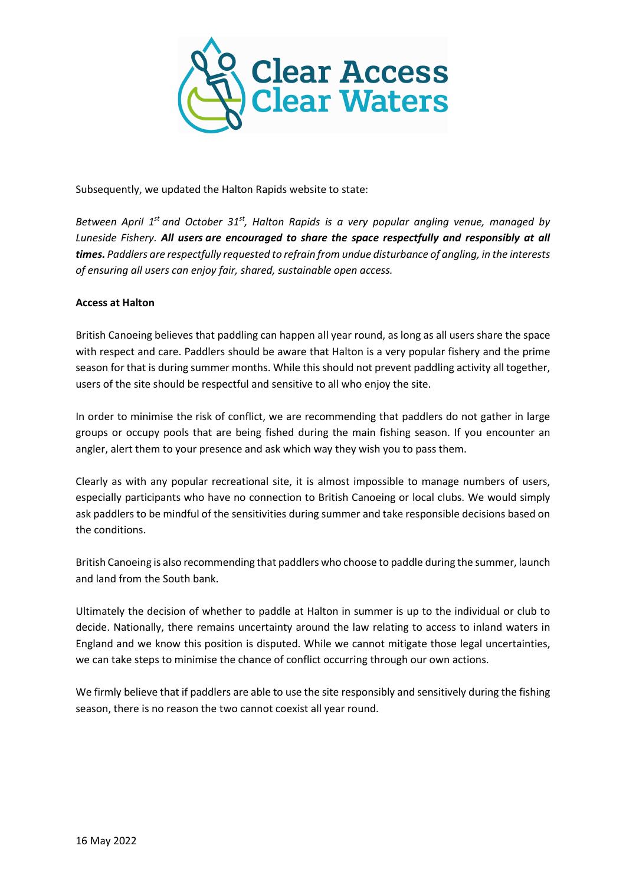

Subsequently, we updated the Halton Rapids website to state:

Between April 1<sup>st</sup> and October 31<sup>st</sup>, Halton Rapids is a very popular angling venue, managed by Luneside Fishery. All users are encouraged to share the space respectfully and responsibly at all times. Paddlers are respectfully requested to refrain from undue disturbance of angling, in the interests of ensuring all users can enjoy fair, shared, sustainable open access.

# Access at Halton

British Canoeing believes that paddling can happen all year round, as long as all users share the space with respect and care. Paddlers should be aware that Halton is a very popular fishery and the prime season for that is during summer months. While this should not prevent paddling activity all together, users of the site should be respectful and sensitive to all who enjoy the site.

In order to minimise the risk of conflict, we are recommending that paddlers do not gather in large groups or occupy pools that are being fished during the main fishing season. If you encounter an angler, alert them to your presence and ask which way they wish you to pass them.

Clearly as with any popular recreational site, it is almost impossible to manage numbers of users, especially participants who have no connection to British Canoeing or local clubs. We would simply ask paddlers to be mindful of the sensitivities during summer and take responsible decisions based on the conditions.

British Canoeing is also recommending that paddlers who choose to paddle during the summer, launch and land from the South bank.

Ultimately the decision of whether to paddle at Halton in summer is up to the individual or club to decide. Nationally, there remains uncertainty around the law relating to access to inland waters in England and we know this position is disputed. While we cannot mitigate those legal uncertainties, we can take steps to minimise the chance of conflict occurring through our own actions.

We firmly believe that if paddlers are able to use the site responsibly and sensitively during the fishing season, there is no reason the two cannot coexist all year round.